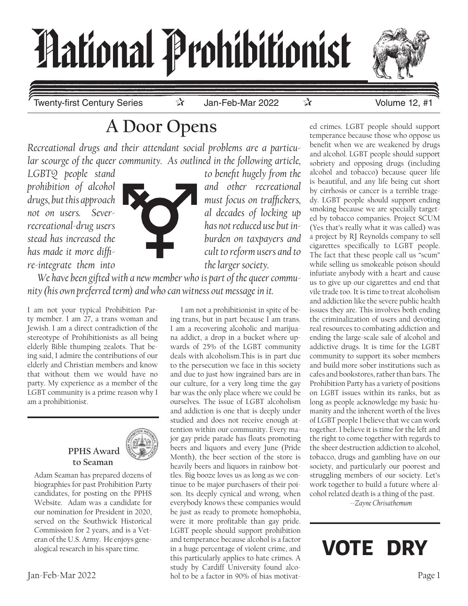

Twenty-first Century Series বিষ্টিত সাম Jan-Feb-Mar 2022 বিষ্টিত সাম Volume 12, #1

# **A Door Opens**

*Recreational drugs and their attendant social problems are a particular scourge of the queer community. As outlined in the following article,* 

*LGBTQ people stand to benefit hugely from the re-integrate them into* the *larger society.* 



prohibition of alcohol **and interval and other recreational** *drugs, but this approach must focus on traffickers, not on users. Sever- al decades of locking up recreational-drug users has not reduced use but instead has increased the burden on taxpayers and has made it more diffi- cult to reform users and to* 

*We have been gifted with a new member who is part of the queer community (his own preferred term) and who can witness out message in it.*

I am not your typical Prohibition Party member. I am 27, a trans woman and Jewish. I am a direct contradiction of the stereotype of Prohibitionists as all being elderly Bible thumping zealots. That being said, I admire the contributions of our elderly and Christian members and know that without them we would have no party. My experience as a member of the LGBT community is a prime reason why I am a prohibitionist.



Adam Seaman has prepared dozens of biographies for past Prohibition Party candidates, for posting on the PPHS Website. Adam was a candidate for our nomination for President in 2020, served on the Southwick Historical Commission for 2 years, and is a Veteran of the U.S. Army. He enjoys genealogical research in his spare time.

Jan-Feb-Mar 2022 Page 1 hol to be a factor in 90% of bias motivat-I am not a prohibitionist in spite of being trans, but in part because I am trans. I am a recovering alcoholic and marijuana addict, a drop in a bucket where upwards of 25% of the LGBT community deals with alcoholism.This is in part due to the persecution we face in this society and due to just how ingrained bars are in our culture, for a very long time the gay bar was the only place where we could be ourselves. The issue of LGBT alcoholism and addiction is one that is deeply under studied and does not receive enough attention within our community. Every major gay pride parade has floats promoting beers and liquors and every June (Pride Month), the beer section of the store is heavily beers and liquors in rainbow bottles. Big booze loves us as long as we continue to be major purchasers of their poison. Its deeply cynical and wrong, when everybody knows these companies would be just as ready to promote homophobia, were it more profitable than gay pride. LGBT people should support prohibition and temperance because alcohol is a factor in a huge percentage of violent crime, and this particularly applies to hate crimes. A study by Cardiff University found alco-

ed crimes. LGBT people should support temperance because those who oppose us benefit when we are weakened by drugs and alcohol. LGBT people should support sobriety and opposing drugs (including alcohol and tobacco) because queer life is beautiful, and any life being cut short by cirrhosis or cancer is a terrible tragedy. LGBT people should support ending smoking because we are specially targeted by tobacco companies. Project SCUM (Yes that's really what it was called) was a project by RJ Reynolds company to sell cigarettes specifically to LGBT people. The fact that these people call us "scum" while selling us smokeable poison should infuriate anybody with a heart and cause us to give up our cigarettes and end that vile trade too. It is time to treat alcoholism and addiction like the severe public health issues they are. This involves both ending the criminalization of users and devoting real resources to combating addiction and ending the large-scale sale of alcohol and addictive drugs. It is time for the LGBT community to support its sober members and build more sober institutions such as cafes and bookstores, rather than bars. The Prohibition Party has a variety of positions on LGBT issues within its ranks, but as long as people acknowledge my basic humanity and the inherent worth of the lives of LGBT people I believe that we can work together. I believe it is time for the left and the right to come together with regards to the sheer destruction addiction to alcohol, tobacco, drugs and gambling have on our society, and particularly our poorest and struggling members of our society. Let's work together to build a future where alcohol related death is a thing of the past.

 *--Zayne Chrisathemum*

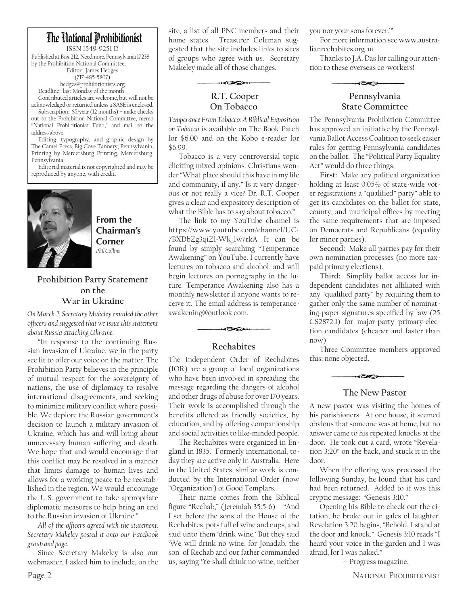### The Hational Prohibitionist

ISSN 1549-9251 D Published at Box 212, Needmore, Pennsylvania 17238 by the Prohibition National Committee. Editor: James Hedges (717-485-5807) hedges@prohibitionists.org

Deadline: last Monday of the month Contributed articles are welcome, but will not be acknowledged or returned unless a SASE is enclosed.

Subscription: \$5/year (12 months) – make checks out to the Prohibition National Committee, memo "National Prohibitionist Fund," and mail to the address above.

Editing, typography, and graphic design by The Camel Press, Big Cove Tannery, Pennsylvania. Printing by Mercersburg Printing, Mercersburg, Pennsylvania.

Editorial material is not copyrighted and may be reproduced by anyone, with credit.



**From the Chairman's Corner** *Phil Collins*

#### **Prohibition Party Statement on the War in Ukraine**

*On March 2, Secretary Makeley emailed the other officers and suggested that we issue this statement about Russia attacking Ukraine:*

"In response to the continuing Russian invasion of Ukraine, we in the party see fit to offer our voice on the matter. The Prohibition Party believes in the principle of mutual respect for the sovereignty of nations, the use of diplomacy to resolve international disagreements, and seeking to minimize military conflict where possible. We deplore the Russian government's decision to launch a military invasion of Ukraine, which has and will bring about unnecessary human suffering and death. We hope that and would encourage that this conflict may be resolved in a manner that limits damage to human lives and allows for a working peace to be reestablished in the region. We would encourage the U.S. government to take appropriate diplomatic measures to help bring an end to the Russian invasion of Ukraine."

*All of the officers agreed with the statement. Secretary Makeley posted it onto our Facebook group and page.*

Since Secretary Makeley is also our webmaster, I asked him to include, on the site, a list of all PNC members and their home states. Treasurer Coleman suggested that the site includes links to sites of groups who agree with us. Secretary Makeley made all of those changes.

ન≫

 **R.T. Cooper On Tobacco** 

*Temperance From Tobacco: A Biblical Exposition on Tobacco* is available on The Book Patch for \$6.00 and on the Kobo e-reader for \$6.99.

Tobacco is a very controversial topic eliciting mixed opinions. Christians wonder "What place should this have in my life and community, if any." Is it very dangerous or not really a vice? Dr. R.T. Cooper gives a clear and expository description of what the Bible has to say about tobacco."

The link to my YouTube channel is https://www.youtube.com/channel/UC-7BXDbZg3qiZl-Wk\_1w7rkA It can be found by simply searching "Temperance Awakening" on YouTube. I currently have lectures on tobacco and alcohol, and will begin lectures on pornography in the future. Temperance Awakening also has a monthly newsletter if anyone wants to receive it. The email address is temperanceawakening@outlook.com.

#### **Rechabites**

≺∞

The Independent Order of Rechabites (IOR) are a group of local organizations who have been involved in spreading the message regarding the dangers of alcohol and other drugs of abuse for over 170 years. Their work is accomplished through the benefits offered as friendly societies, by education, and by offering companionship and social activities to like-minded people.

The Rechabites were organized in England in 1835. Formerly international, today they are active only in Australia. Here in the United States, similar work is conducted by the International Order (now "Organization') of Good Templars.

Their name comes from the Biblical figure "Rechab," (Jeremiah 35:5-6): "And I set before the sons of the House of the Rechabites, pots full of wine and cups, and said unto them 'drink wine.' But they said 'We will drink no wine, for Jonadab, the son of Rechab and our father commanded us, saying 'Ye shall drink no wine, neither

you nor your sons forever.'"

For more information see www.australianrechabites.org.au

Thanks to J.A. Das for calling our attention to these overseas co-workers!



#### **Pennsylvania State Committee**

The Pennsylvania Prohibition Committee has approved an initiative by the Pennsylvania Ballot Access Coalition to seek easier rules for getting Pennsylvania candidates on the ballot. The "Political Party Equality Act" would do three things:

**First:** Make any political organization holding at least 0.05% of state-wide voter registrations a "qualified" party" able to get its candidates on the ballot for state, county, and municipal offices by meeting the same requirements that are imposed on Democrats and Republicans (equality for minor parties).

**Second:** Make all parties pay for their own nomination processes (no more taxpaid primary elections).

**Third:** Simplify ballot access for independent candidates not affiliated with any "qualified party" by requiring them to gather only the same number of nominating-paper signatures specified by law (25 CS2872.1) for major-party primary-election candidates (cheaper and faster than now)

Three Committee members approved this; none objected.

### ≺∞

#### **The New Pastor**

A new pastor was visiting the homes of his parishioners. At one house, it seemed obvious that someone was at home, but no answer came to his repeated knocks at the door. He took out a card, wrote "Revelation 3:20" on the back, and stuck it in the door.

When the offering was processed the following Sunday, he found that his card had been returned. Added to it was this cryptic message: "Genesis 3:10."

Opening his Bible to check out the citation, he broke out in gales of laughter. Revelation 3:20 begins, "Behold, I stand at the door and knock." Genesis 3:10 reads "I heard your voice in the garden and I was afraid, for I was naked."

-- Progress magazine.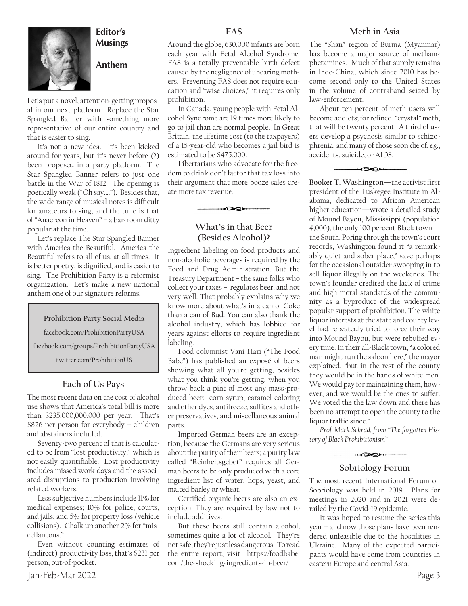

#### **Editor's Musings**

**Anthem**

Let's put a novel, attention-getting proposal in our next platform: Replace the Star Spangled Banner with something more representative of our entire country and that is easier to sing.

It's not a new idea. It's been kicked around for years, but it's never before (?) been proposed in a party platform. The Star Spangled Banner refers to just one battle in the War of 1812. The opening is poetically weak ("Oh say…."). Besides that, the wide range of musical notes is difficult for amateurs to sing, and the tune is that of "Anacreon in Heaven" – a bar-room ditty popular at the time.

Let's replace The Star Spangled Banner with America the Beautiful. America the Beautiful refers to all of us, at all times. It is better poetry, is dignified, and is easier to sing. The Prohibition Party is a reformist organization. Let's make a new national anthem one of our signature reforms!

#### **Prohibition Party Social Media**

facebook.com/ProhibitionPartyUSA

facebook.com/groups/ProhibitionPartyUSA

twitter.com/ProhibitionUS

#### **Each of Us Pays**

The most recent data on the cost of alcohol use shows that America's total bill is more than \$235,000,000,000 per year. That's \$826 per person for everybody – children and abstainers included.

Seventy-two percent of that is calculated to be from "lost productivity," which is not easily quantifiable. Lost productivity includes missed work days and the associated disruptions to production involving related workers.

Less subjective numbers include 11% for medical expenses; 10% for police, courts, and jails; and 5% for property loss (vehicle collisions). Chalk up another 2% for "miscellaneous."

Even without counting estimates of (indirect) productivity loss, that's \$231 per person, out-of-pocket.

Around the globe, 630,000 infants are born each year with Fetal Alcohol Syndrome. FAS is a totally preventable birth defect caused by the negligence of uncaring mothers. Preventing FAS does not require education and "wise choices," it requires only

prohibition.

**FAS**

In Canada, young people with Fetal Alcohol Syndrome are 19 times more likely to go to jail than are normal people. In Great Britain, the lifetime cost (to the taxpayers) of a 15-year-old who becomes a jail bird is estimated to be \$475,000.

Libertarians who advocate for the freedom to drink don't factor that tax loss into their argument that more booze sales create more tax revenue.

#### **What's in that Beer (Besides Alcohol)?**

≺∞∞

Ingredient labeling on food products and non-alcoholic beverages is required by the Food and Drug Administration. But the Treasury Department – the same folks who collect your taxes – regulates beer, and not very well. That probably explains why we know more about what's in a can of Coke than a can of Bud. You can also thank the alcohol industry, which has lobbied for years against efforts to require ingredient labeling.

Food columnist Vani Hari ("The Food Babe") has published an exposé of beers showing what all you're getting, besides what you think you're getting, when you throw back a pint of most any mass-produced beer: corn syrup, caramel coloring and other dyes, antifreeze, sulfites and other preservatives, and miscellaneous animal parts.

Imported German beers are an exception, because the Germans are very serious about the purity of their beers; a purity law called "Reinheitsgebot" requires all German beers to be only produced with a core ingredient list of water, hops, yeast, and malted barley or wheat.

Certified organic beers are also an exception. They are required by law not to include additives.

But these beers still contain alcohol, sometimes quite a lot of alcohol. They're not safe, they're just less dangerous. To read the entire report, visit https://foodbabe. com/the-shocking-ingredients-in-beer/

#### **Meth in Asia**

The "Shan" region of Burma (Myanmar) has become a major source of methamphetamines. Much of that supply remains in Indo-China, which since 2010 has become second only to the United States in the volume of contraband seized by law-enforcement.

About ten percent of meth users will become addicts; for refined, "crystal" meth, that will be twenty percent. A third of users develop a psychosis similar to schizophrenia, and many of those soon die of, *e.g*., accidents, suicide, or AIDS.

 $\overline{\infty}$ 

**Booker T. Washington**—the activist first president of the Tuskegee Institute in Alabama, dedicated to African American higher education—wrote a detailed study of Mound Bayou, Mississippi (population 4,000), the only 100 percent Black town in the South. Poring through the town's court records, Washington found it "a remarkably quiet and sober place," save perhaps for the occasional outsider swooping in to sell liquor illegally on the weekends. The town's founder credited the lack of crime and high moral standards of the community as a byproduct of the widespread popular support of prohibition. The white liquor interests at the state and county level had repeatedly tried to force their way into Mound Bayou, but were rebuffed every time. In their all-Black town, "a colored man might run the saloon here," the mayor explained, "but in the rest of the county they would be in the hands of white men. We would pay for maintaining them, however, and we would be the ones to suffer. We voted the the law down and there has been no attempt to open the county to the liquor traffic since."

*Prof. Mark Schrad, from "The forgotten History of Black Prohibitionism"* 

### **Sobriology Forum**

The most recent International Forum on Sobriology was held in 2019. Plans for meetings in 2020 and in 2021 were derailed by the Covid-19 epidemic.

It was hoped to resume the series this year – and now those plans have been rendered unfeasible due to the hostilities in Ukraine. Many of the expected participants would have come from countries in eastern Europe and central Asia.